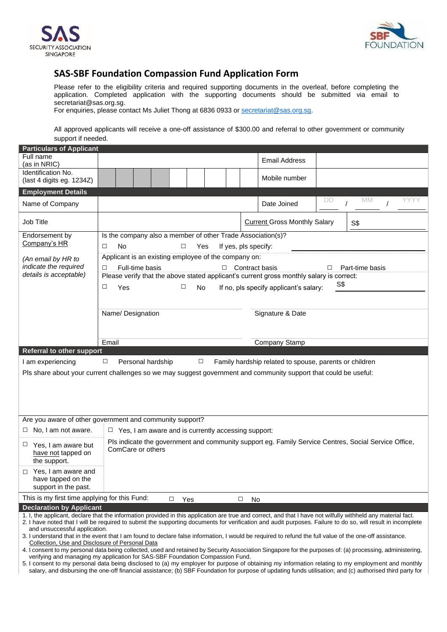



## **SAS-SBF Foundation Compassion Fund Application Form**

Please refer to the eligibility criteria and required supporting documents in the overleaf, before completing the application. Completed application with the supporting documents should be submitted via email to secretariat@sas.org.sg.

For enquiries, please contact Ms Juliet Thong at 6836 0933 or [secretariat@sas.org.sg.](mailto:secretariat@sas.org.sg)

All approved applicants will receive a one-off assistance of \$300.00 and referral to other government or community support if needed.

| <b>Particulars of Applicant</b>                                                                                                                                                                                                                                                                                                                                                                                                                                                                                                                                                                                |                                                                                                                                                                                                                                                                                                                                                       |                   |  |  |        |  |  |  |                      |    |    |  |      |
|----------------------------------------------------------------------------------------------------------------------------------------------------------------------------------------------------------------------------------------------------------------------------------------------------------------------------------------------------------------------------------------------------------------------------------------------------------------------------------------------------------------------------------------------------------------------------------------------------------------|-------------------------------------------------------------------------------------------------------------------------------------------------------------------------------------------------------------------------------------------------------------------------------------------------------------------------------------------------------|-------------------|--|--|--------|--|--|--|----------------------|----|----|--|------|
| Full name<br>(as in NRIC)                                                                                                                                                                                                                                                                                                                                                                                                                                                                                                                                                                                      |                                                                                                                                                                                                                                                                                                                                                       |                   |  |  |        |  |  |  | <b>Email Address</b> |    |    |  |      |
| Identification No.<br>(last 4 digits eg. 1234Z)                                                                                                                                                                                                                                                                                                                                                                                                                                                                                                                                                                |                                                                                                                                                                                                                                                                                                                                                       |                   |  |  |        |  |  |  | Mobile number        |    |    |  |      |
| <b>Employment Details</b>                                                                                                                                                                                                                                                                                                                                                                                                                                                                                                                                                                                      |                                                                                                                                                                                                                                                                                                                                                       |                   |  |  |        |  |  |  |                      |    |    |  |      |
| Name of Company                                                                                                                                                                                                                                                                                                                                                                                                                                                                                                                                                                                                |                                                                                                                                                                                                                                                                                                                                                       |                   |  |  |        |  |  |  | Date Joined          | DD | МM |  | YYY) |
| Job Title                                                                                                                                                                                                                                                                                                                                                                                                                                                                                                                                                                                                      | <b>Current Gross Monthly Salary</b><br>S\$                                                                                                                                                                                                                                                                                                            |                   |  |  |        |  |  |  |                      |    |    |  |      |
| Endorsement by<br>Company's HR                                                                                                                                                                                                                                                                                                                                                                                                                                                                                                                                                                                 | Is the company also a member of other Trade Association(s)?<br><b>No</b><br>□<br>□<br>Yes<br>If yes, pls specify:<br>Applicant is an existing employee of the company on:<br>Full-time basis<br>$\Box$ Contract basis<br>Part-time basis<br>□<br>□<br>Please verify that the above stated applicant's current gross monthly salary is correct:<br>S\$ |                   |  |  |        |  |  |  |                      |    |    |  |      |
| (An email by HR to<br>indicate the required<br>details is acceptable)                                                                                                                                                                                                                                                                                                                                                                                                                                                                                                                                          |                                                                                                                                                                                                                                                                                                                                                       |                   |  |  |        |  |  |  |                      |    |    |  |      |
|                                                                                                                                                                                                                                                                                                                                                                                                                                                                                                                                                                                                                | □<br>□<br>If no, pls specify applicant's salary:<br>Yes<br>No                                                                                                                                                                                                                                                                                         |                   |  |  |        |  |  |  |                      |    |    |  |      |
|                                                                                                                                                                                                                                                                                                                                                                                                                                                                                                                                                                                                                | Signature & Date<br>Name/Designation                                                                                                                                                                                                                                                                                                                  |                   |  |  |        |  |  |  |                      |    |    |  |      |
|                                                                                                                                                                                                                                                                                                                                                                                                                                                                                                                                                                                                                | Email                                                                                                                                                                                                                                                                                                                                                 |                   |  |  |        |  |  |  | Company Stamp        |    |    |  |      |
| <b>Referral to other support</b>                                                                                                                                                                                                                                                                                                                                                                                                                                                                                                                                                                               |                                                                                                                                                                                                                                                                                                                                                       |                   |  |  |        |  |  |  |                      |    |    |  |      |
| I am experiencing                                                                                                                                                                                                                                                                                                                                                                                                                                                                                                                                                                                              | $\Box$                                                                                                                                                                                                                                                                                                                                                | Personal hardship |  |  | $\Box$ |  |  |  |                      |    |    |  |      |
| Family hardship related to spouse, parents or children<br>Pls share about your current challenges so we may suggest government and community support that could be useful:                                                                                                                                                                                                                                                                                                                                                                                                                                     |                                                                                                                                                                                                                                                                                                                                                       |                   |  |  |        |  |  |  |                      |    |    |  |      |
|                                                                                                                                                                                                                                                                                                                                                                                                                                                                                                                                                                                                                |                                                                                                                                                                                                                                                                                                                                                       |                   |  |  |        |  |  |  |                      |    |    |  |      |
| Are you aware of other government and community support?<br>$\Box$ No, I am not aware.<br>$\Box$ Yes, I am aware and is currently accessing support:                                                                                                                                                                                                                                                                                                                                                                                                                                                           |                                                                                                                                                                                                                                                                                                                                                       |                   |  |  |        |  |  |  |                      |    |    |  |      |
| $\Box$ Yes, I am aware but<br>have not tapped on<br>the support.                                                                                                                                                                                                                                                                                                                                                                                                                                                                                                                                               | Pls indicate the government and community support eg. Family Service Centres, Social Service Office,<br>ComCare or others                                                                                                                                                                                                                             |                   |  |  |        |  |  |  |                      |    |    |  |      |
| Yes, I am aware and<br>п<br>have tapped on the<br>support in the past.                                                                                                                                                                                                                                                                                                                                                                                                                                                                                                                                         |                                                                                                                                                                                                                                                                                                                                                       |                   |  |  |        |  |  |  |                      |    |    |  |      |
| This is my first time applying for this Fund:<br>$\Box$<br>Yes<br>□<br>No                                                                                                                                                                                                                                                                                                                                                                                                                                                                                                                                      |                                                                                                                                                                                                                                                                                                                                                       |                   |  |  |        |  |  |  |                      |    |    |  |      |
| <b>Declaration by Applicant</b><br>1. I, the applicant, declare that the information provided in this application are true and correct, and that I have not wilfully withheld any material fact.<br>2. I have noted that I will be required to submit the supporting documents for verification and audit purposes. Failure to do so, will result in incomplete<br>and unsuccessful application.<br>3. I understand that in the event that I am found to declare false information, I would be required to refund the full value of the one-off assistance.<br>Collection, Use and Disclosure of Personal Data |                                                                                                                                                                                                                                                                                                                                                       |                   |  |  |        |  |  |  |                      |    |    |  |      |
| 4. I consent to my personal data being collected, used and retained by Security Association Singapore for the purposes of: (a) processing, administering,                                                                                                                                                                                                                                                                                                                                                                                                                                                      |                                                                                                                                                                                                                                                                                                                                                       |                   |  |  |        |  |  |  |                      |    |    |  |      |

- verifying and managing my application for SAS-SBF Foundation Compassion Fund.
- 5. I consent to my personal data being disclosed to (a) my employer for purpose of obtaining my information relating to my employment and monthly salary, and disbursing the one-off financial assistance; (b) SBF Foundation for purpose of updating funds utilisation; and (c) authorised third party for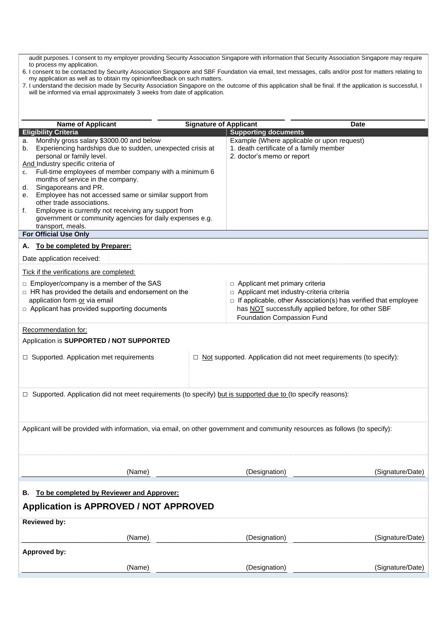audit purposes. I consent to my employer providing Security Association Singapore with information that Security Association Singapore may require to process my application.

- 6. I consent to be contacted by Security Association Singapore and SBF Foundation via email, text messages, calls and/or post for matters relating to my application as well as to obtain my opinion/feedback on such matters.
- 7. I understand the decision made by Security Association Singapore on the outcome of this application shall be final. If the application is successful, I will be informed via email approximately 3 weeks from date of application.

| <b>Name of Applicant</b>                                                                                                                                                                                                                                                                                                                                                                                                                                                                                                                                                                            | <b>Signature of Applicant</b> |                                                                                                                                                                                                                                        | <b>Date</b>      |  |  |  |
|-----------------------------------------------------------------------------------------------------------------------------------------------------------------------------------------------------------------------------------------------------------------------------------------------------------------------------------------------------------------------------------------------------------------------------------------------------------------------------------------------------------------------------------------------------------------------------------------------------|-------------------------------|----------------------------------------------------------------------------------------------------------------------------------------------------------------------------------------------------------------------------------------|------------------|--|--|--|
| <b>Eligibility Criteria</b>                                                                                                                                                                                                                                                                                                                                                                                                                                                                                                                                                                         |                               | <b>Supporting documents</b>                                                                                                                                                                                                            |                  |  |  |  |
| Monthly gross salary \$3000.00 and below<br>a.<br>Experiencing hardships due to sudden, unexpected crisis at<br>b.<br>personal or family level.<br>And Industry specific criteria of<br>Full-time employees of member company with a minimum 6<br>c.<br>months of service in the company.<br>Singaporeans and PR.<br>d.<br>Employee has not accessed same or similar support from<br>е.<br>other trade associations.<br>Employee is currently not receiving any support from<br>f.<br>government or community agencies for daily expenses e.g.<br>transport, meals.<br><b>For Official Use Only</b> |                               | Example (Where applicable or upon request)<br>1. death certificate of a family member<br>2. doctor's memo or report                                                                                                                    |                  |  |  |  |
| To be completed by Preparer:<br>А.                                                                                                                                                                                                                                                                                                                                                                                                                                                                                                                                                                  |                               |                                                                                                                                                                                                                                        |                  |  |  |  |
| Date application received:                                                                                                                                                                                                                                                                                                                                                                                                                                                                                                                                                                          |                               |                                                                                                                                                                                                                                        |                  |  |  |  |
| Tick if the verifications are completed:                                                                                                                                                                                                                                                                                                                                                                                                                                                                                                                                                            |                               |                                                                                                                                                                                                                                        |                  |  |  |  |
| □ Employer/company is a member of the SAS<br>□ HR has provided the details and endorsement on the<br>application form or via email<br>$\Box$ Applicant has provided supporting documents                                                                                                                                                                                                                                                                                                                                                                                                            |                               | □ Applicant met primary criteria<br>□ Applicant met industry-criteria criteria<br>□ If applicable, other Association(s) has verified that employee<br>has NOT successfully applied before, for other SBF<br>Foundation Compassion Fund |                  |  |  |  |
| Recommendation for:                                                                                                                                                                                                                                                                                                                                                                                                                                                                                                                                                                                 |                               |                                                                                                                                                                                                                                        |                  |  |  |  |
| Application is SUPPORTED / NOT SUPPORTED                                                                                                                                                                                                                                                                                                                                                                                                                                                                                                                                                            |                               |                                                                                                                                                                                                                                        |                  |  |  |  |
| □ Supported. Application met requirements<br>$\Box$ Not supported. Application did not meet requirements (to specify):                                                                                                                                                                                                                                                                                                                                                                                                                                                                              |                               |                                                                                                                                                                                                                                        |                  |  |  |  |
| □ Supported. Application did not meet requirements (to specify) but is supported due to (to specify reasons):                                                                                                                                                                                                                                                                                                                                                                                                                                                                                       |                               |                                                                                                                                                                                                                                        |                  |  |  |  |
| Applicant will be provided with information, via email, on other government and community resources as follows (to specify):                                                                                                                                                                                                                                                                                                                                                                                                                                                                        |                               |                                                                                                                                                                                                                                        |                  |  |  |  |
| (Name)                                                                                                                                                                                                                                                                                                                                                                                                                                                                                                                                                                                              |                               | (Designation)                                                                                                                                                                                                                          | (Signature/Date) |  |  |  |
| To be completed by Reviewer and Approver:<br>В.                                                                                                                                                                                                                                                                                                                                                                                                                                                                                                                                                     |                               |                                                                                                                                                                                                                                        |                  |  |  |  |
| <b>Application is APPROVED / NOT APPROVED</b>                                                                                                                                                                                                                                                                                                                                                                                                                                                                                                                                                       |                               |                                                                                                                                                                                                                                        |                  |  |  |  |
| <b>Reviewed by:</b>                                                                                                                                                                                                                                                                                                                                                                                                                                                                                                                                                                                 |                               |                                                                                                                                                                                                                                        |                  |  |  |  |
| (Name)                                                                                                                                                                                                                                                                                                                                                                                                                                                                                                                                                                                              |                               | (Designation)                                                                                                                                                                                                                          | (Signature/Date) |  |  |  |
| Approved by:                                                                                                                                                                                                                                                                                                                                                                                                                                                                                                                                                                                        |                               |                                                                                                                                                                                                                                        |                  |  |  |  |
| (Name)                                                                                                                                                                                                                                                                                                                                                                                                                                                                                                                                                                                              |                               | (Designation)                                                                                                                                                                                                                          | (Signature/Date) |  |  |  |